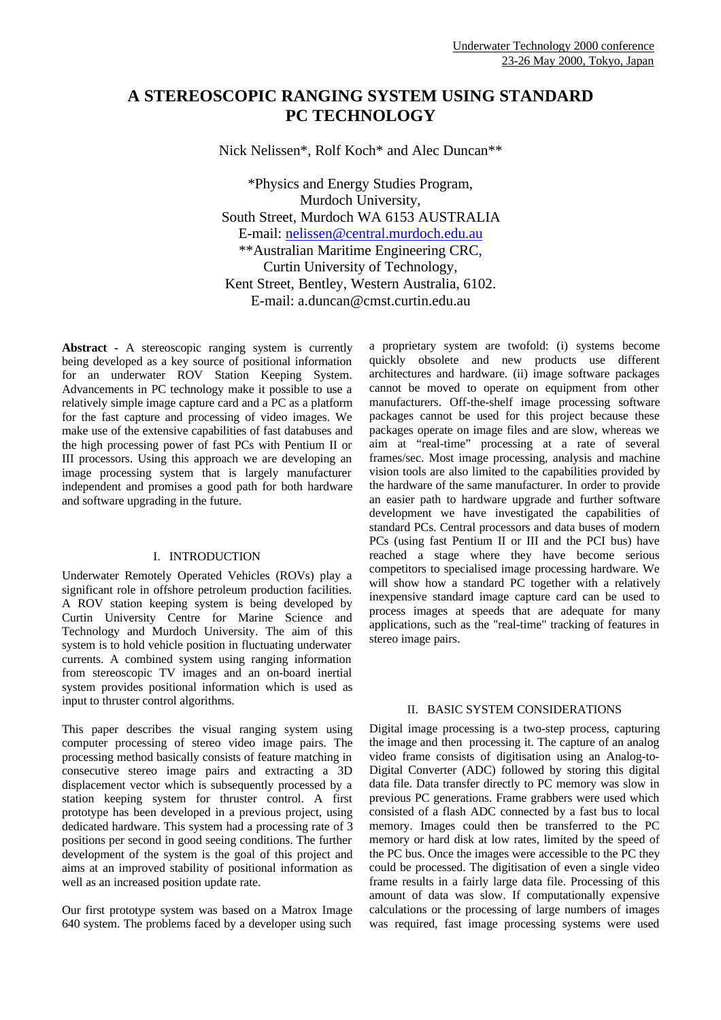# **A STEREOSCOPIC RANGING SYSTEM USING STANDARD PC TECHNOLOGY**

Nick Nelissen\*, Rolf Koch\* and Alec Duncan\*\*

\*Physics and Energy Studies Program, Murdoch University, South Street, Murdoch WA 6153 AUSTRALIA E-mail: nelissen@central.murdoch.edu.au \*\*Australian Maritime Engineering CRC, Curtin University of Technology, Kent Street, Bentley, Western Australia, 6102. E-mail: a.duncan@cmst.curtin.edu.au

**Abstract -** A stereoscopic ranging system is currently being developed as a key source of positional information for an underwater ROV Station Keeping System. Advancements in PC technology make it possible to use a relatively simple image capture card and a PC as a platform for the fast capture and processing of video images. We make use of the extensive capabilities of fast databuses and the high processing power of fast PCs with Pentium II or III processors. Using this approach we are developing an image processing system that is largely manufacturer independent and promises a good path for both hardware and software upgrading in the future.

### I. INTRODUCTION

Underwater Remotely Operated Vehicles (ROVs) play a significant role in offshore petroleum production facilities. A ROV station keeping system is being developed by Curtin University Centre for Marine Science and Technology and Murdoch University. The aim of this system is to hold vehicle position in fluctuating underwater currents. A combined system using ranging information from stereoscopic TV images and an on-board inertial system provides positional information which is used as input to thruster control algorithms.

This paper describes the visual ranging system using computer processing of stereo video image pairs. The processing method basically consists of feature matching in consecutive stereo image pairs and extracting a 3D displacement vector which is subsequently processed by a station keeping system for thruster control. A first prototype has been developed in a previous project, using dedicated hardware. This system had a processing rate of 3 positions per second in good seeing conditions. The further development of the system is the goal of this project and aims at an improved stability of positional information as well as an increased position update rate.

Our first prototype system was based on a Matrox Image 640 system. The problems faced by a developer using such

a proprietary system are twofold: (i) systems become quickly obsolete and new products use different architectures and hardware. (ii) image software packages cannot be moved to operate on equipment from other manufacturers. Off-the-shelf image processing software packages cannot be used for this project because these packages operate on image files and are slow, whereas we aim at "real-time" processing at a rate of several frames/sec. Most image processing, analysis and machine vision tools are also limited to the capabilities provided by the hardware of the same manufacturer. In order to provide an easier path to hardware upgrade and further software development we have investigated the capabilities of standard PCs. Central processors and data buses of modern PCs (using fast Pentium II or III and the PCI bus) have reached a stage where they have become serious competitors to specialised image processing hardware. We will show how a standard PC together with a relatively inexpensive standard image capture card can be used to process images at speeds that are adequate for many applications, such as the "real-time" tracking of features in stereo image pairs.

### II. BASIC SYSTEM CONSIDERATIONS

Digital image processing is a two-step process, capturing the image and then processing it. The capture of an analog video frame consists of digitisation using an Analog-to-Digital Converter (ADC) followed by storing this digital data file. Data transfer directly to PC memory was slow in previous PC generations. Frame grabbers were used which consisted of a flash ADC connected by a fast bus to local memory. Images could then be transferred to the PC memory or hard disk at low rates, limited by the speed of the PC bus. Once the images were accessible to the PC they could be processed. The digitisation of even a single video frame results in a fairly large data file. Processing of this amount of data was slow. If computationally expensive calculations or the processing of large numbers of images was required, fast image processing systems were used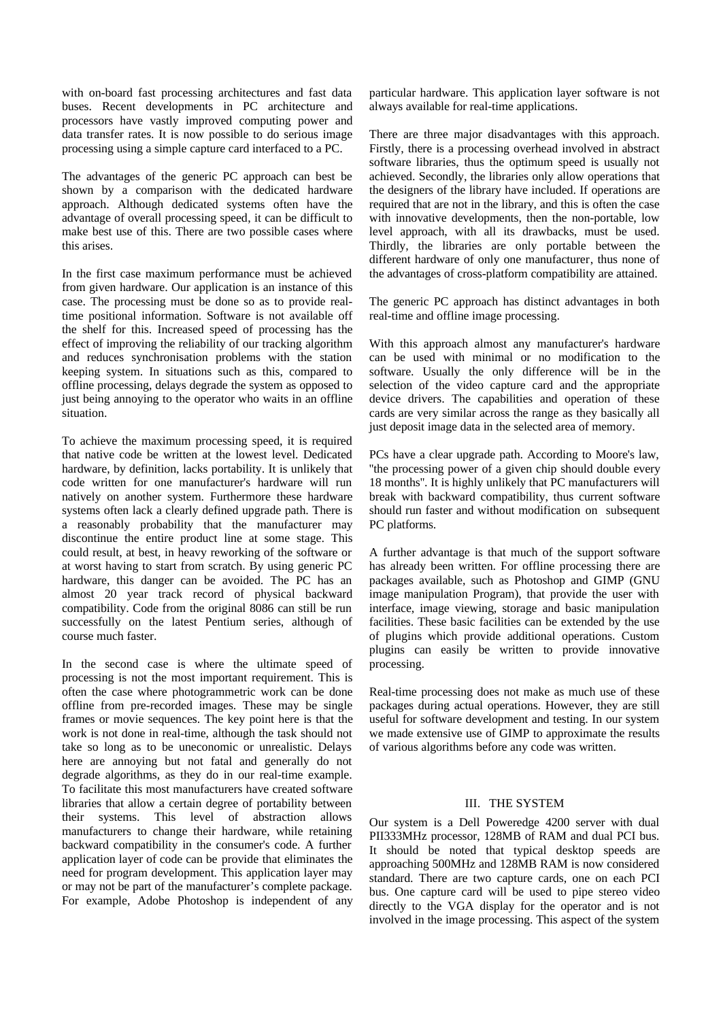with on-board fast processing architectures and fast data buses. Recent developments in PC architecture and processors have vastly improved computing power and data transfer rates. It is now possible to do serious image processing using a simple capture card interfaced to a PC.

The advantages of the generic PC approach can best be shown by a comparison with the dedicated hardware approach. Although dedicated systems often have the advantage of overall processing speed, it can be difficult to make best use of this. There are two possible cases where this arises.

In the first case maximum performance must be achieved from given hardware. Our application is an instance of this case. The processing must be done so as to provide realtime positional information. Software is not available off the shelf for this. Increased speed of processing has the effect of improving the reliability of our tracking algorithm and reduces synchronisation problems with the station keeping system. In situations such as this, compared to offline processing, delays degrade the system as opposed to just being annoying to the operator who waits in an offline situation.

To achieve the maximum processing speed, it is required that native code be written at the lowest level. Dedicated hardware, by definition, lacks portability. It is unlikely that code written for one manufacturer's hardware will run natively on another system. Furthermore these hardware systems often lack a clearly defined upgrade path. There is a reasonably probability that the manufacturer may discontinue the entire product line at some stage. This could result, at best, in heavy reworking of the software or at worst having to start from scratch. By using generic PC hardware, this danger can be avoided. The PC has an almost 20 year track record of physical backward compatibility. Code from the original 8086 can still be run successfully on the latest Pentium series, although of course much faster.

In the second case is where the ultimate speed of processing is not the most important requirement. This is often the case where photogrammetric work can be done offline from pre-recorded images. These may be single frames or movie sequences. The key point here is that the work is not done in real-time, although the task should not take so long as to be uneconomic or unrealistic. Delays here are annoying but not fatal and generally do not degrade algorithms, as they do in our real-time example. To facilitate this most manufacturers have created software libraries that allow a certain degree of portability between their systems. This level of abstraction allows manufacturers to change their hardware, while retaining backward compatibility in the consumer's code. A further application layer of code can be provide that eliminates the need for program development. This application layer may or may not be part of the manufacturer's complete package. For example, Adobe Photoshop is independent of any

particular hardware. This application layer software is not always available for real-time applications.

There are three major disadvantages with this approach. Firstly, there is a processing overhead involved in abstract software libraries, thus the optimum speed is usually not achieved. Secondly, the libraries only allow operations that the designers of the library have included. If operations are required that are not in the library, and this is often the case with innovative developments, then the non-portable, low level approach, with all its drawbacks, must be used. Thirdly, the libraries are only portable between the different hardware of only one manufacturer, thus none of the advantages of cross-platform compatibility are attained.

The generic PC approach has distinct advantages in both real-time and offline image processing.

With this approach almost any manufacturer's hardware can be used with minimal or no modification to the software. Usually the only difference will be in the selection of the video capture card and the appropriate device drivers. The capabilities and operation of these cards are very similar across the range as they basically all just deposit image data in the selected area of memory.

PCs have a clear upgrade path. According to Moore's law, ''the processing power of a given chip should double every 18 months''. It is highly unlikely that PC manufacturers will break with backward compatibility, thus current software should run faster and without modification on subsequent PC platforms.

A further advantage is that much of the support software has already been written. For offline processing there are packages available, such as Photoshop and GIMP (GNU image manipulation Program), that provide the user with interface, image viewing, storage and basic manipulation facilities. These basic facilities can be extended by the use of plugins which provide additional operations. Custom plugins can easily be written to provide innovative processing.

Real-time processing does not make as much use of these packages during actual operations. However, they are still useful for software development and testing. In our system we made extensive use of GIMP to approximate the results of various algorithms before any code was written.

## III. THE SYSTEM

Our system is a Dell Poweredge 4200 server with dual PII333MHz processor, 128MB of RAM and dual PCI bus. It should be noted that typical desktop speeds are approaching 500MHz and 128MB RAM is now considered standard. There are two capture cards, one on each PCI bus. One capture card will be used to pipe stereo video directly to the VGA display for the operator and is not involved in the image processing. This aspect of the system